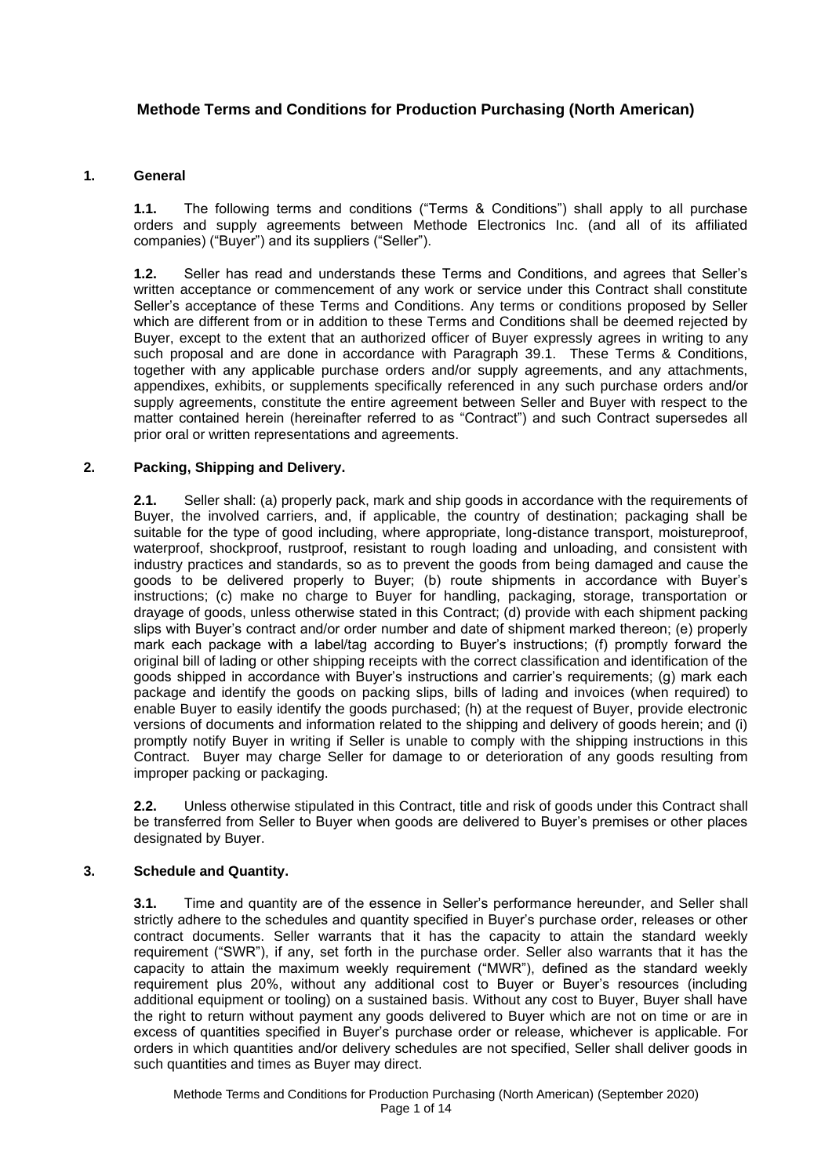# **Methode Terms and Conditions for Production Purchasing (North American)**

#### **1. General**

**1.1.** The following terms and conditions ("Terms & Conditions") shall apply to all purchase orders and supply agreements between Methode Electronics Inc. (and all of its affiliated companies) ("Buyer") and its suppliers ("Seller").

**1.2.** Seller has read and understands these Terms and Conditions, and agrees that Seller's written acceptance or commencement of any work or service under this Contract shall constitute Seller's acceptance of these Terms and Conditions. Any terms or conditions proposed by Seller which are different from or in addition to these Terms and Conditions shall be deemed rejected by Buyer, except to the extent that an authorized officer of Buyer expressly agrees in writing to any such proposal and are done in accordance with Paragraph 39.1. These Terms & Conditions, together with any applicable purchase orders and/or supply agreements, and any attachments, appendixes, exhibits, or supplements specifically referenced in any such purchase orders and/or supply agreements, constitute the entire agreement between Seller and Buyer with respect to the matter contained herein (hereinafter referred to as "Contract") and such Contract supersedes all prior oral or written representations and agreements.

# **2. Packing, Shipping and Delivery.**

**2.1.** Seller shall: (a) properly pack, mark and ship goods in accordance with the requirements of Buyer, the involved carriers, and, if applicable, the country of destination; packaging shall be suitable for the type of good including, where appropriate, long-distance transport, moistureproof, waterproof, shockproof, rustproof, resistant to rough loading and unloading, and consistent with industry practices and standards, so as to prevent the goods from being damaged and cause the goods to be delivered properly to Buyer; (b) route shipments in accordance with Buyer's instructions; (c) make no charge to Buyer for handling, packaging, storage, transportation or drayage of goods, unless otherwise stated in this Contract; (d) provide with each shipment packing slips with Buyer's contract and/or order number and date of shipment marked thereon; (e) properly mark each package with a label/tag according to Buyer's instructions; (f) promptly forward the original bill of lading or other shipping receipts with the correct classification and identification of the goods shipped in accordance with Buyer's instructions and carrier's requirements; (g) mark each package and identify the goods on packing slips, bills of lading and invoices (when required) to enable Buyer to easily identify the goods purchased; (h) at the request of Buyer, provide electronic versions of documents and information related to the shipping and delivery of goods herein; and (i) promptly notify Buyer in writing if Seller is unable to comply with the shipping instructions in this Contract.Buyer may charge Seller for damage to or deterioration of any goods resulting from improper packing or packaging.

**2.2.** Unless otherwise stipulated in this Contract, title and risk of goods under this Contract shall be transferred from Seller to Buyer when goods are delivered to Buyer's premises or other places designated by Buyer.

### **3. Schedule and Quantity.**

**3.1.** Time and quantity are of the essence in Seller's performance hereunder, and Seller shall strictly adhere to the schedules and quantity specified in Buyer's purchase order, releases or other contract documents. Seller warrants that it has the capacity to attain the standard weekly requirement ("SWR"), if any, set forth in the purchase order. Seller also warrants that it has the capacity to attain the maximum weekly requirement ("MWR"), defined as the standard weekly requirement plus 20%, without any additional cost to Buyer or Buyer's resources (including additional equipment or tooling) on a sustained basis. Without any cost to Buyer, Buyer shall have the right to return without payment any goods delivered to Buyer which are not on time or are in excess of quantities specified in Buyer's purchase order or release, whichever is applicable. For orders in which quantities and/or delivery schedules are not specified, Seller shall deliver goods in such quantities and times as Buyer may direct.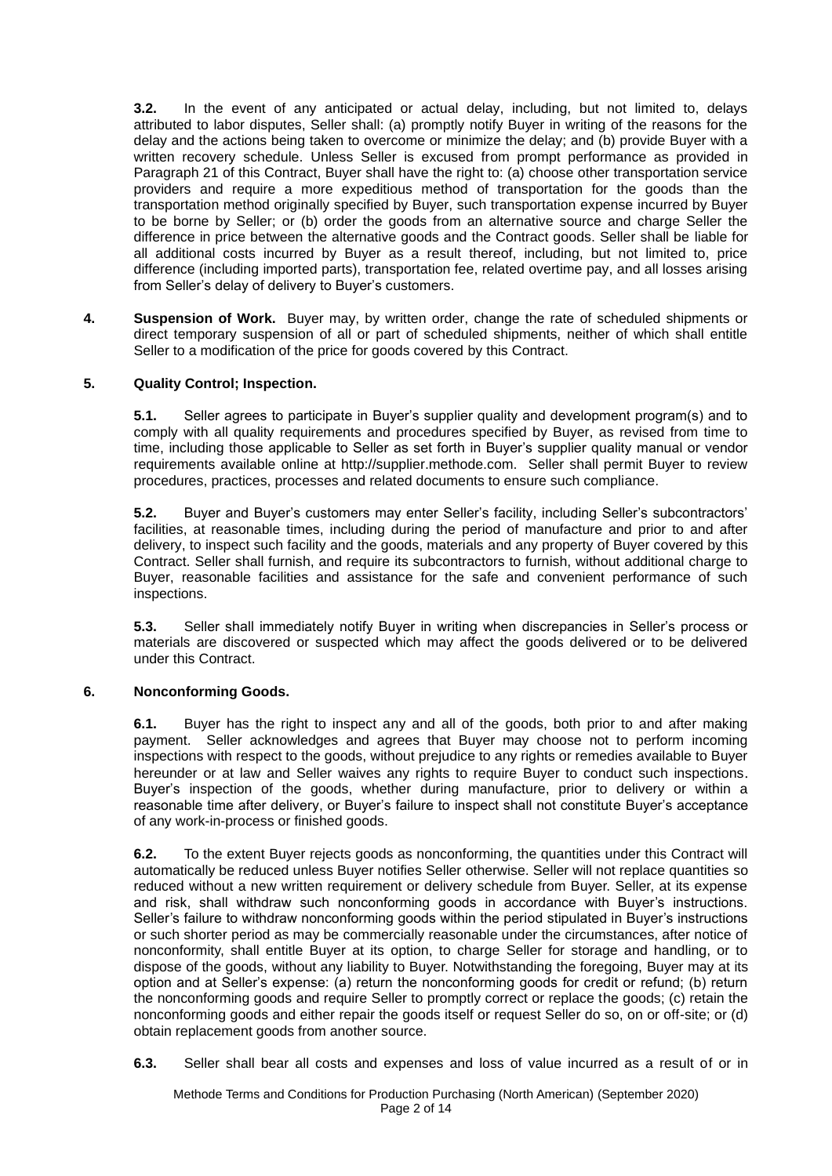**3.2.** In the event of any anticipated or actual delay, including, but not limited to, delays attributed to labor disputes, Seller shall: (a) promptly notify Buyer in writing of the reasons for the delay and the actions being taken to overcome or minimize the delay; and (b) provide Buyer with a written recovery schedule. Unless Seller is excused from prompt performance as provided in Paragraph 21 of this Contract, Buyer shall have the right to: (a) choose other transportation service providers and require a more expeditious method of transportation for the goods than the transportation method originally specified by Buyer, such transportation expense incurred by Buyer to be borne by Seller; or (b) order the goods from an alternative source and charge Seller the difference in price between the alternative goods and the Contract goods. Seller shall be liable for all additional costs incurred by Buyer as a result thereof, including, but not limited to, price difference (including imported parts), transportation fee, related overtime pay, and all losses arising from Seller's delay of delivery to Buyer's customers.

**4. Suspension of Work.** Buyer may, by written order, change the rate of scheduled shipments or direct temporary suspension of all or part of scheduled shipments, neither of which shall entitle Seller to a modification of the price for goods covered by this Contract.

# **5. Quality Control; Inspection.**

**5.1.** Seller agrees to participate in Buyer's supplier quality and development program(s) and to comply with all quality requirements and procedures specified by Buyer, as revised from time to time, including those applicable to Seller as set forth in Buyer's supplier quality manual or vendor requirements available online at http://supplier.methode.com. Seller shall permit Buyer to review procedures, practices, processes and related documents to ensure such compliance.

**5.2.** Buyer and Buyer's customers may enter Seller's facility, including Seller's subcontractors' facilities, at reasonable times, including during the period of manufacture and prior to and after delivery, to inspect such facility and the goods, materials and any property of Buyer covered by this Contract. Seller shall furnish, and require its subcontractors to furnish, without additional charge to Buyer, reasonable facilities and assistance for the safe and convenient performance of such inspections.

**5.3.** Seller shall immediately notify Buyer in writing when discrepancies in Seller's process or materials are discovered or suspected which may affect the goods delivered or to be delivered under this Contract.

### **6. Nonconforming Goods.**

**6.1.** Buyer has the right to inspect any and all of the goods, both prior to and after making payment. Seller acknowledges and agrees that Buyer may choose not to perform incoming inspections with respect to the goods, without prejudice to any rights or remedies available to Buyer hereunder or at law and Seller waives any rights to require Buyer to conduct such inspections. Buyer's inspection of the goods, whether during manufacture, prior to delivery or within a reasonable time after delivery, or Buyer's failure to inspect shall not constitute Buyer's acceptance of any work-in-process or finished goods.

**6.2.** To the extent Buyer rejects goods as nonconforming, the quantities under this Contract will automatically be reduced unless Buyer notifies Seller otherwise. Seller will not replace quantities so reduced without a new written requirement or delivery schedule from Buyer. Seller, at its expense and risk, shall withdraw such nonconforming goods in accordance with Buyer's instructions. Seller's failure to withdraw nonconforming goods within the period stipulated in Buyer's instructions or such shorter period as may be commercially reasonable under the circumstances, after notice of nonconformity, shall entitle Buyer at its option, to charge Seller for storage and handling, or to dispose of the goods, without any liability to Buyer. Notwithstanding the foregoing, Buyer may at its option and at Seller's expense: (a) return the nonconforming goods for credit or refund; (b) return the nonconforming goods and require Seller to promptly correct or replace the goods; (c) retain the nonconforming goods and either repair the goods itself or request Seller do so, on or off-site; or (d) obtain replacement goods from another source.

**6.3.** Seller shall bear all costs and expenses and loss of value incurred as a result of or in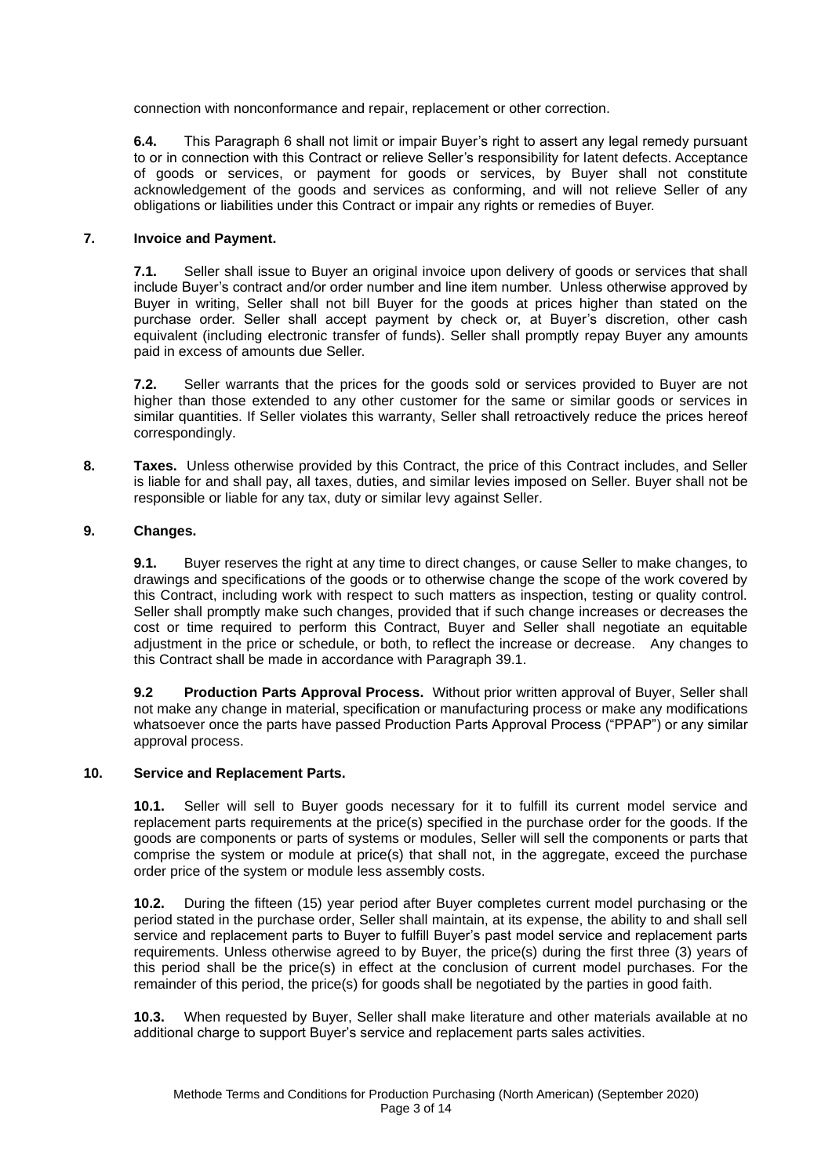connection with nonconformance and repair, replacement or other correction.

**6.4.** This Paragraph 6 shall not limit or impair Buyer's right to assert any legal remedy pursuant to or in connection with this Contract or relieve Seller's responsibility for latent defects. Acceptance of goods or services, or payment for goods or services, by Buyer shall not constitute acknowledgement of the goods and services as conforming, and will not relieve Seller of any obligations or liabilities under this Contract or impair any rights or remedies of Buyer.

#### **7. Invoice and Payment.**

**7.1.** Seller shall issue to Buyer an original invoice upon delivery of goods or services that shall include Buyer's contract and/or order number and line item number. Unless otherwise approved by Buyer in writing, Seller shall not bill Buyer for the goods at prices higher than stated on the purchase order. Seller shall accept payment by check or, at Buyer's discretion, other cash equivalent (including electronic transfer of funds). Seller shall promptly repay Buyer any amounts paid in excess of amounts due Seller.

**7.2.** Seller warrants that the prices for the goods sold or services provided to Buyer are not higher than those extended to any other customer for the same or similar goods or services in similar quantities. If Seller violates this warranty, Seller shall retroactively reduce the prices hereof correspondingly.

**8. Taxes.** Unless otherwise provided by this Contract, the price of this Contract includes, and Seller is liable for and shall pay, all taxes, duties, and similar levies imposed on Seller. Buyer shall not be responsible or liable for any tax, duty or similar levy against Seller.

### **9. Changes.**

**9.1.** Buyer reserves the right at any time to direct changes, or cause Seller to make changes, to drawings and specifications of the goods or to otherwise change the scope of the work covered by this Contract, including work with respect to such matters as inspection, testing or quality control. Seller shall promptly make such changes, provided that if such change increases or decreases the cost or time required to perform this Contract, Buyer and Seller shall negotiate an equitable adjustment in the price or schedule, or both, to reflect the increase or decrease. Any changes to this Contract shall be made in accordance with Paragraph 39.1.

**9.2 Production Parts Approval Process.** Without prior written approval of Buyer, Seller shall not make any change in material, specification or manufacturing process or make any modifications whatsoever once the parts have passed Production Parts Approval Process ("PPAP") or any similar approval process.

#### **10. Service and Replacement Parts.**

**10.1.** Seller will sell to Buyer goods necessary for it to fulfill its current model service and replacement parts requirements at the price(s) specified in the purchase order for the goods. If the goods are components or parts of systems or modules, Seller will sell the components or parts that comprise the system or module at price(s) that shall not, in the aggregate, exceed the purchase order price of the system or module less assembly costs.

**10.2.** During the fifteen (15) year period after Buyer completes current model purchasing or the period stated in the purchase order, Seller shall maintain, at its expense, the ability to and shall sell service and replacement parts to Buyer to fulfill Buyer's past model service and replacement parts requirements. Unless otherwise agreed to by Buyer, the price(s) during the first three (3) years of this period shall be the price(s) in effect at the conclusion of current model purchases. For the remainder of this period, the price(s) for goods shall be negotiated by the parties in good faith.

**10.3.** When requested by Buyer, Seller shall make literature and other materials available at no additional charge to support Buyer's service and replacement parts sales activities.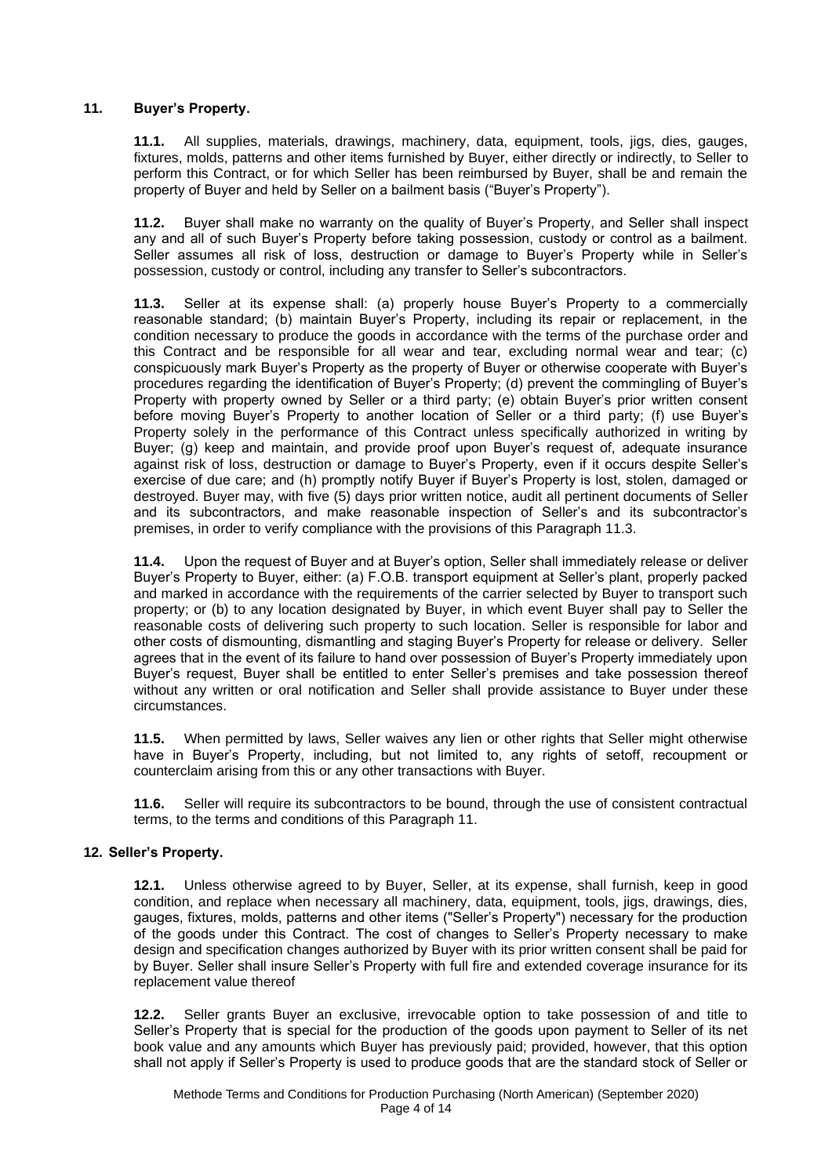# **11. Buyer's Property.**

**11.1.** All supplies, materials, drawings, machinery, data, equipment, tools, jigs, dies, gauges, fixtures, molds, patterns and other items furnished by Buyer, either directly or indirectly, to Seller to perform this Contract, or for which Seller has been reimbursed by Buyer, shall be and remain the property of Buyer and held by Seller on a bailment basis ("Buyer's Property").

**11.2.** Buyer shall make no warranty on the quality of Buyer's Property, and Seller shall inspect any and all of such Buyer's Property before taking possession, custody or control as a bailment. Seller assumes all risk of loss, destruction or damage to Buyer's Property while in Seller's possession, custody or control, including any transfer to Seller's subcontractors.

**11.3.** Seller at its expense shall: (a) properly house Buyer's Property to a commercially reasonable standard; (b) maintain Buyer's Property, including its repair or replacement, in the condition necessary to produce the goods in accordance with the terms of the purchase order and this Contract and be responsible for all wear and tear, excluding normal wear and tear; (c) conspicuously mark Buyer's Property as the property of Buyer or otherwise cooperate with Buyer's procedures regarding the identification of Buyer's Property; (d) prevent the commingling of Buyer's Property with property owned by Seller or a third party; (e) obtain Buyer's prior written consent before moving Buyer's Property to another location of Seller or a third party; (f) use Buyer's Property solely in the performance of this Contract unless specifically authorized in writing by Buyer; (g) keep and maintain, and provide proof upon Buyer's request of, adequate insurance against risk of loss, destruction or damage to Buyer's Property, even if it occurs despite Seller's exercise of due care; and (h) promptly notify Buyer if Buyer's Property is lost, stolen, damaged or destroyed. Buyer may, with five (5) days prior written notice, audit all pertinent documents of Seller and its subcontractors, and make reasonable inspection of Seller's and its subcontractor's premises, in order to verify compliance with the provisions of this Paragraph 11.3.

**11.4.** Upon the request of Buyer and at Buyer's option, Seller shall immediately release or deliver Buyer's Property to Buyer, either: (a) F.O.B. transport equipment at Seller's plant, properly packed and marked in accordance with the requirements of the carrier selected by Buyer to transport such property; or (b) to any location designated by Buyer, in which event Buyer shall pay to Seller the reasonable costs of delivering such property to such location. Seller is responsible for labor and other costs of dismounting, dismantling and staging Buyer's Property for release or delivery. Seller agrees that in the event of its failure to hand over possession of Buyer's Property immediately upon Buyer's request, Buyer shall be entitled to enter Seller's premises and take possession thereof without any written or oral notification and Seller shall provide assistance to Buyer under these circumstances.

**11.5.** When permitted by laws, Seller waives any lien or other rights that Seller might otherwise have in Buyer's Property, including, but not limited to, any rights of setoff, recoupment or counterclaim arising from this or any other transactions with Buyer.

**11.6.** Seller will require its subcontractors to be bound, through the use of consistent contractual terms, to the terms and conditions of this Paragraph 11.

### **12. Seller's Property.**

**12.1.** Unless otherwise agreed to by Buyer, Seller, at its expense, shall furnish, keep in good condition, and replace when necessary all machinery, data, equipment, tools, jigs, drawings, dies, gauges, fixtures, molds, patterns and other items ("Seller's Property") necessary for the production of the goods under this Contract. The cost of changes to Seller's Property necessary to make design and specification changes authorized by Buyer with its prior written consent shall be paid for by Buyer. Seller shall insure Seller's Property with full fire and extended coverage insurance for its replacement value thereof

**12.2.** Seller grants Buyer an exclusive, irrevocable option to take possession of and title to Seller's Property that is special for the production of the goods upon payment to Seller of its net book value and any amounts which Buyer has previously paid; provided, however, that this option shall not apply if Seller's Property is used to produce goods that are the standard stock of Seller or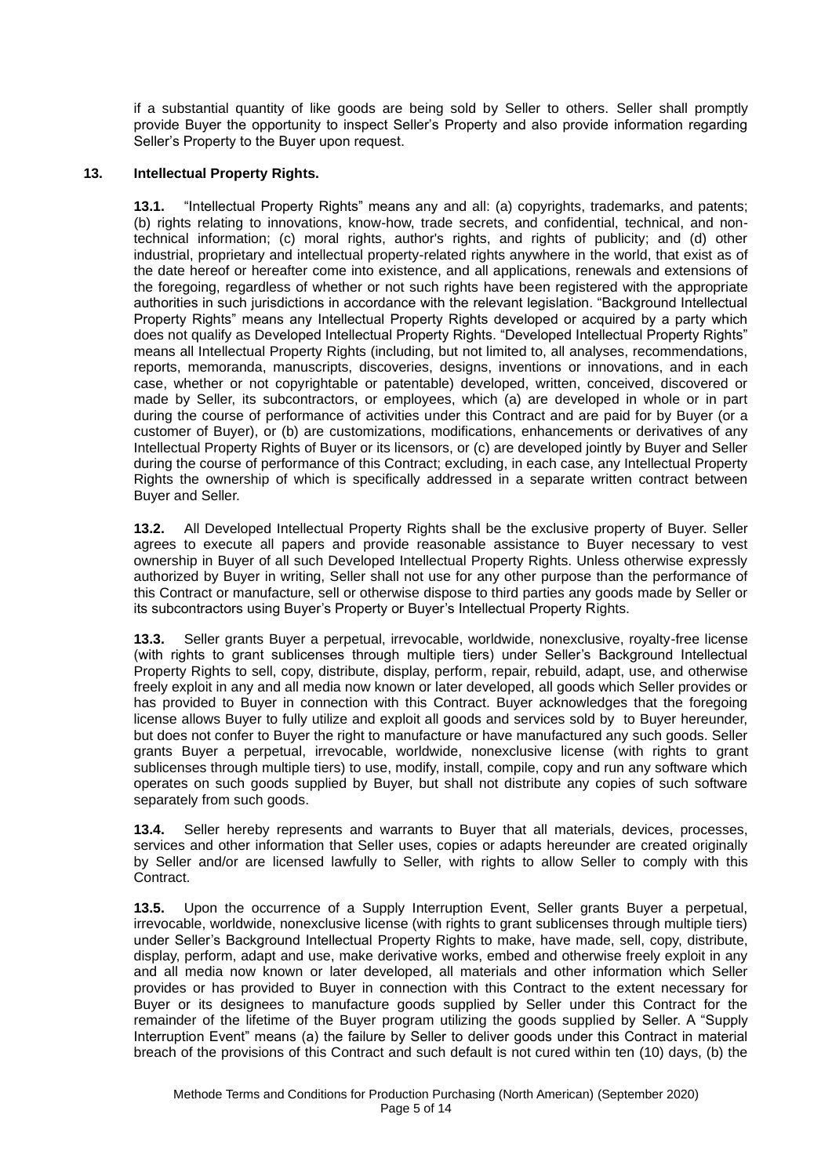if a substantial quantity of like goods are being sold by Seller to others. Seller shall promptly provide Buyer the opportunity to inspect Seller's Property and also provide information regarding Seller's Property to the Buyer upon request.

# **13. Intellectual Property Rights.**

**13.1.** "Intellectual Property Rights" means any and all: (a) copyrights, trademarks, and patents; (b) rights relating to innovations, know-how, trade secrets, and confidential, technical, and nontechnical information; (c) moral rights, author's rights, and rights of publicity; and (d) other industrial, proprietary and intellectual property-related rights anywhere in the world, that exist as of the date hereof or hereafter come into existence, and all applications, renewals and extensions of the foregoing, regardless of whether or not such rights have been registered with the appropriate authorities in such jurisdictions in accordance with the relevant legislation. "Background Intellectual Property Rights" means any Intellectual Property Rights developed or acquired by a party which does not qualify as Developed Intellectual Property Rights. "Developed Intellectual Property Rights" means all Intellectual Property Rights (including, but not limited to, all analyses, recommendations, reports, memoranda, manuscripts, discoveries, designs, inventions or innovations, and in each case, whether or not copyrightable or patentable) developed, written, conceived, discovered or made by Seller, its subcontractors, or employees, which (a) are developed in whole or in part during the course of performance of activities under this Contract and are paid for by Buyer (or a customer of Buyer), or (b) are customizations, modifications, enhancements or derivatives of any Intellectual Property Rights of Buyer or its licensors, or (c) are developed jointly by Buyer and Seller during the course of performance of this Contract; excluding, in each case, any Intellectual Property Rights the ownership of which is specifically addressed in a separate written contract between Buyer and Seller.

**13.2.** All Developed Intellectual Property Rights shall be the exclusive property of Buyer. Seller agrees to execute all papers and provide reasonable assistance to Buyer necessary to vest ownership in Buyer of all such Developed Intellectual Property Rights. Unless otherwise expressly authorized by Buyer in writing, Seller shall not use for any other purpose than the performance of this Contract or manufacture, sell or otherwise dispose to third parties any goods made by Seller or its subcontractors using Buyer's Property or Buyer's Intellectual Property Rights.

**13.3.** Seller grants Buyer a perpetual, irrevocable, worldwide, nonexclusive, royalty-free license (with rights to grant sublicenses through multiple tiers) under Seller's Background Intellectual Property Rights to sell, copy, distribute, display, perform, repair, rebuild, adapt, use, and otherwise freely exploit in any and all media now known or later developed, all goods which Seller provides or has provided to Buyer in connection with this Contract. Buyer acknowledges that the foregoing license allows Buyer to fully utilize and exploit all goods and services sold by to Buyer hereunder, but does not confer to Buyer the right to manufacture or have manufactured any such goods. Seller grants Buyer a perpetual, irrevocable, worldwide, nonexclusive license (with rights to grant sublicenses through multiple tiers) to use, modify, install, compile, copy and run any software which operates on such goods supplied by Buyer, but shall not distribute any copies of such software separately from such goods.

**13.4.** Seller hereby represents and warrants to Buyer that all materials, devices, processes, services and other information that Seller uses, copies or adapts hereunder are created originally by Seller and/or are licensed lawfully to Seller, with rights to allow Seller to comply with this Contract.

**13.5.** Upon the occurrence of a Supply Interruption Event, Seller grants Buyer a perpetual, irrevocable, worldwide, nonexclusive license (with rights to grant sublicenses through multiple tiers) under Seller's Background Intellectual Property Rights to make, have made, sell, copy, distribute, display, perform, adapt and use, make derivative works, embed and otherwise freely exploit in any and all media now known or later developed, all materials and other information which Seller provides or has provided to Buyer in connection with this Contract to the extent necessary for Buyer or its designees to manufacture goods supplied by Seller under this Contract for the remainder of the lifetime of the Buyer program utilizing the goods supplied by Seller. A "Supply Interruption Event" means (a) the failure by Seller to deliver goods under this Contract in material breach of the provisions of this Contract and such default is not cured within ten (10) days, (b) the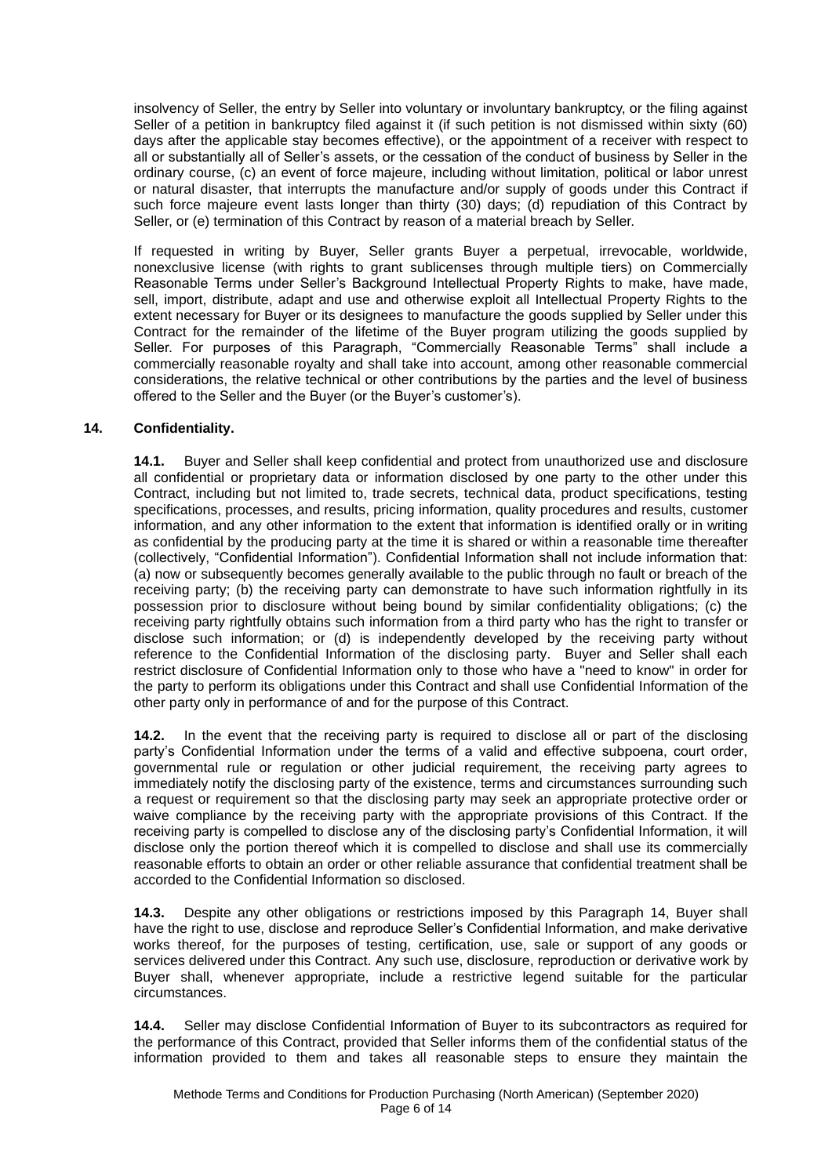insolvency of Seller, the entry by Seller into voluntary or involuntary bankruptcy, or the filing against Seller of a petition in bankruptcy filed against it (if such petition is not dismissed within sixty (60) days after the applicable stay becomes effective), or the appointment of a receiver with respect to all or substantially all of Seller's assets, or the cessation of the conduct of business by Seller in the ordinary course, (c) an event of force majeure, including without limitation, political or labor unrest or natural disaster, that interrupts the manufacture and/or supply of goods under this Contract if such force majeure event lasts longer than thirty (30) days; (d) repudiation of this Contract by Seller, or (e) termination of this Contract by reason of a material breach by Seller.

If requested in writing by Buyer, Seller grants Buyer a perpetual, irrevocable, worldwide, nonexclusive license (with rights to grant sublicenses through multiple tiers) on Commercially Reasonable Terms under Seller's Background Intellectual Property Rights to make, have made, sell, import, distribute, adapt and use and otherwise exploit all Intellectual Property Rights to the extent necessary for Buyer or its designees to manufacture the goods supplied by Seller under this Contract for the remainder of the lifetime of the Buyer program utilizing the goods supplied by Seller. For purposes of this Paragraph, "Commercially Reasonable Terms" shall include a commercially reasonable royalty and shall take into account, among other reasonable commercial considerations, the relative technical or other contributions by the parties and the level of business offered to the Seller and the Buyer (or the Buyer's customer's).

### **14. Confidentiality.**

**14.1.** Buyer and Seller shall keep confidential and protect from unauthorized use and disclosure all confidential or proprietary data or information disclosed by one party to the other under this Contract, including but not limited to, trade secrets, technical data, product specifications, testing specifications, processes, and results, pricing information, quality procedures and results, customer information, and any other information to the extent that information is identified orally or in writing as confidential by the producing party at the time it is shared or within a reasonable time thereafter (collectively, "Confidential Information"). Confidential Information shall not include information that: (a) now or subsequently becomes generally available to the public through no fault or breach of the receiving party; (b) the receiving party can demonstrate to have such information rightfully in its possession prior to disclosure without being bound by similar confidentiality obligations; (c) the receiving party rightfully obtains such information from a third party who has the right to transfer or disclose such information; or (d) is independently developed by the receiving party without reference to the Confidential Information of the disclosing party. Buyer and Seller shall each restrict disclosure of Confidential Information only to those who have a "need to know" in order for the party to perform its obligations under this Contract and shall use Confidential Information of the other party only in performance of and for the purpose of this Contract.

**14.2.** In the event that the receiving party is required to disclose all or part of the disclosing party's Confidential Information under the terms of a valid and effective subpoena, court order, governmental rule or regulation or other judicial requirement, the receiving party agrees to immediately notify the disclosing party of the existence, terms and circumstances surrounding such a request or requirement so that the disclosing party may seek an appropriate protective order or waive compliance by the receiving party with the appropriate provisions of this Contract. If the receiving party is compelled to disclose any of the disclosing party's Confidential Information, it will disclose only the portion thereof which it is compelled to disclose and shall use its commercially reasonable efforts to obtain an order or other reliable assurance that confidential treatment shall be accorded to the Confidential Information so disclosed.

**14.3.** Despite any other obligations or restrictions imposed by this Paragraph 14, Buyer shall have the right to use, disclose and reproduce Seller's Confidential Information, and make derivative works thereof, for the purposes of testing, certification, use, sale or support of any goods or services delivered under this Contract. Any such use, disclosure, reproduction or derivative work by Buyer shall, whenever appropriate, include a restrictive legend suitable for the particular circumstances.

**14.4.** Seller may disclose Confidential Information of Buyer to its subcontractors as required for the performance of this Contract, provided that Seller informs them of the confidential status of the information provided to them and takes all reasonable steps to ensure they maintain the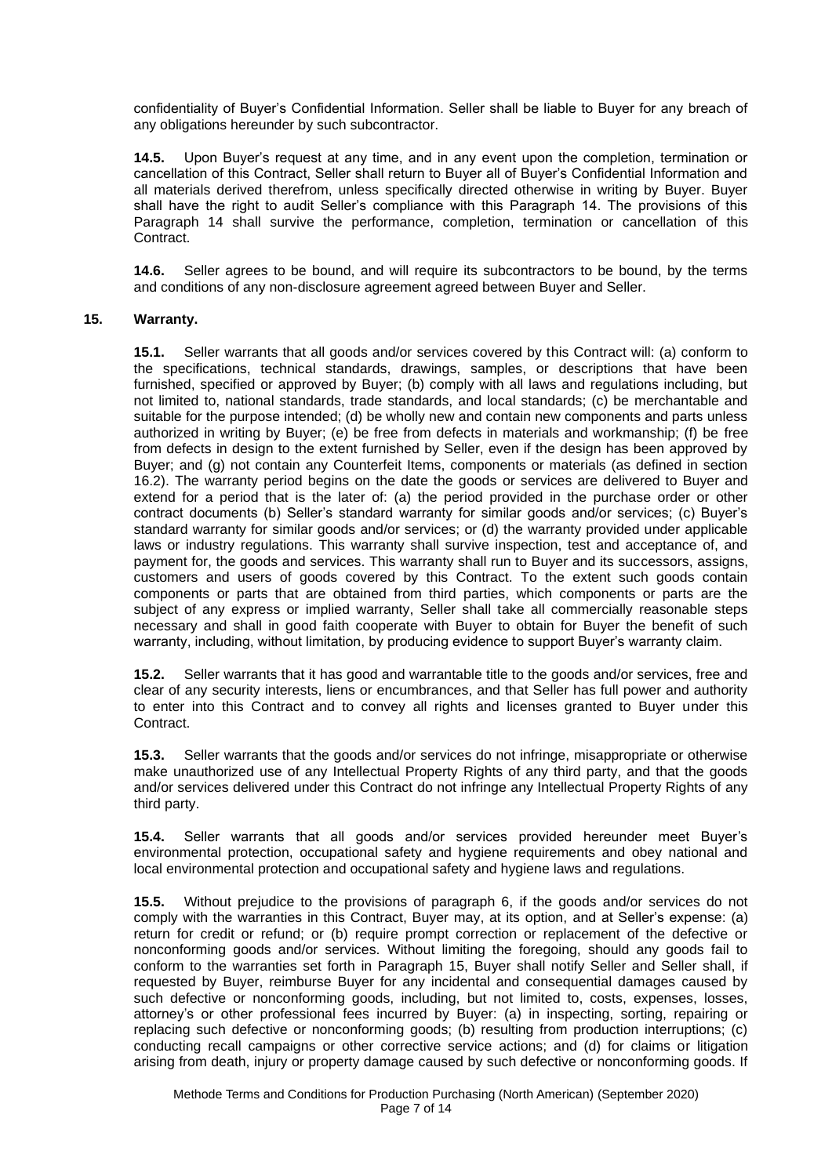confidentiality of Buyer's Confidential Information. Seller shall be liable to Buyer for any breach of any obligations hereunder by such subcontractor.

**14.5.** Upon Buyer's request at any time, and in any event upon the completion, termination or cancellation of this Contract, Seller shall return to Buyer all of Buyer's Confidential Information and all materials derived therefrom, unless specifically directed otherwise in writing by Buyer. Buyer shall have the right to audit Seller's compliance with this Paragraph 14. The provisions of this Paragraph 14 shall survive the performance, completion, termination or cancellation of this Contract.

**14.6.** Seller agrees to be bound, and will require its subcontractors to be bound, by the terms and conditions of any non-disclosure agreement agreed between Buyer and Seller.

#### **15. Warranty.**

**15.1.** Seller warrants that all goods and/or services covered by this Contract will: (a) conform to the specifications, technical standards, drawings, samples, or descriptions that have been furnished, specified or approved by Buyer; (b) comply with all laws and regulations including, but not limited to, national standards, trade standards, and local standards; (c) be merchantable and suitable for the purpose intended; (d) be wholly new and contain new components and parts unless authorized in writing by Buyer; (e) be free from defects in materials and workmanship; (f) be free from defects in design to the extent furnished by Seller, even if the design has been approved by Buyer; and (g) not contain any Counterfeit Items, components or materials (as defined in section 16.2). The warranty period begins on the date the goods or services are delivered to Buyer and extend for a period that is the later of: (a) the period provided in the purchase order or other contract documents (b) Seller's standard warranty for similar goods and/or services; (c) Buyer's standard warranty for similar goods and/or services; or (d) the warranty provided under applicable laws or industry regulations. This warranty shall survive inspection, test and acceptance of, and payment for, the goods and services. This warranty shall run to Buyer and its successors, assigns, customers and users of goods covered by this Contract. To the extent such goods contain components or parts that are obtained from third parties, which components or parts are the subject of any express or implied warranty, Seller shall take all commercially reasonable steps necessary and shall in good faith cooperate with Buyer to obtain for Buyer the benefit of such warranty, including, without limitation, by producing evidence to support Buyer's warranty claim.

**15.2.** Seller warrants that it has good and warrantable title to the goods and/or services, free and clear of any security interests, liens or encumbrances, and that Seller has full power and authority to enter into this Contract and to convey all rights and licenses granted to Buyer under this Contract.

**15.3.** Seller warrants that the goods and/or services do not infringe, misappropriate or otherwise make unauthorized use of any Intellectual Property Rights of any third party, and that the goods and/or services delivered under this Contract do not infringe any Intellectual Property Rights of any third party.

**15.4.** Seller warrants that all goods and/or services provided hereunder meet Buyer's environmental protection, occupational safety and hygiene requirements and obey national and local environmental protection and occupational safety and hygiene laws and regulations.

**15.5.** Without prejudice to the provisions of paragraph 6, if the goods and/or services do not comply with the warranties in this Contract, Buyer may, at its option, and at Seller's expense: (a) return for credit or refund; or (b) require prompt correction or replacement of the defective or nonconforming goods and/or services. Without limiting the foregoing, should any goods fail to conform to the warranties set forth in Paragraph 15, Buyer shall notify Seller and Seller shall, if requested by Buyer, reimburse Buyer for any incidental and consequential damages caused by such defective or nonconforming goods, including, but not limited to, costs, expenses, losses, attorney's or other professional fees incurred by Buyer: (a) in inspecting, sorting, repairing or replacing such defective or nonconforming goods; (b) resulting from production interruptions; (c) conducting recall campaigns or other corrective service actions; and (d) for claims or litigation arising from death, injury or property damage caused by such defective or nonconforming goods. If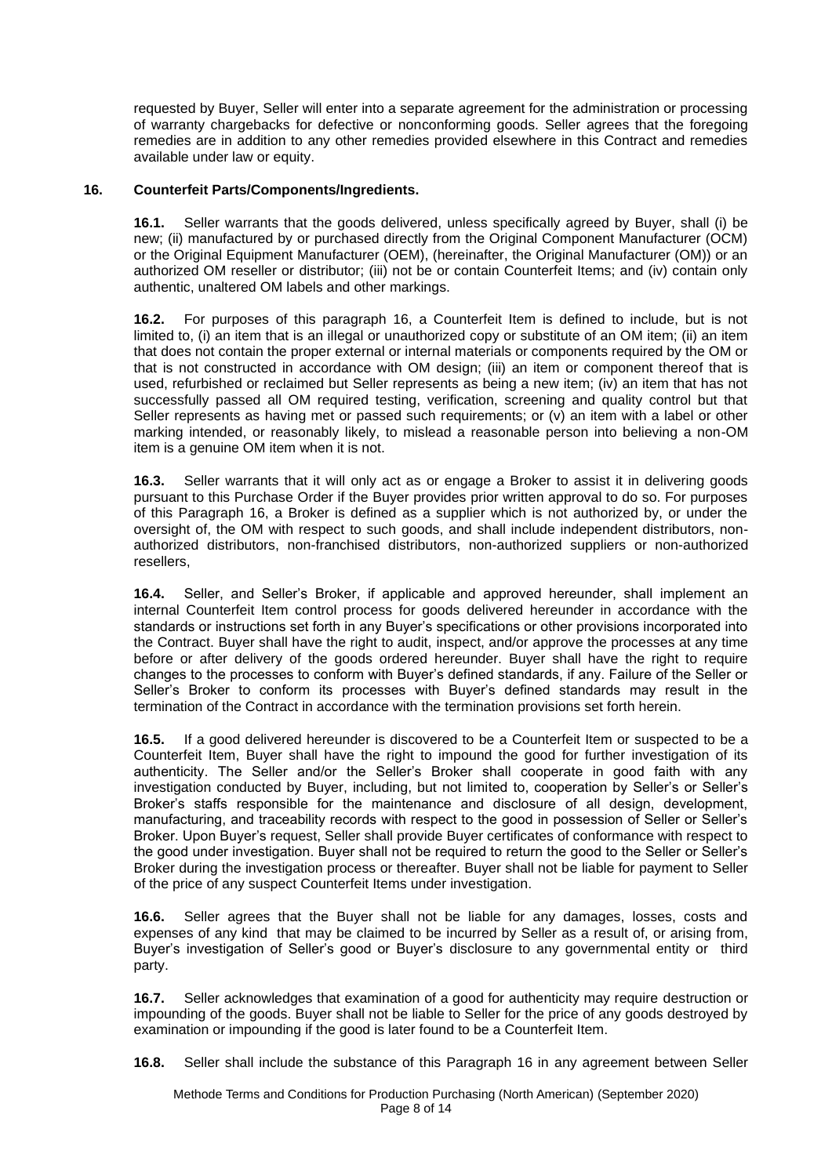requested by Buyer, Seller will enter into a separate agreement for the administration or processing of warranty chargebacks for defective or nonconforming goods. Seller agrees that the foregoing remedies are in addition to any other remedies provided elsewhere in this Contract and remedies available under law or equity.

#### **16. Counterfeit Parts/Components/Ingredients.**

**16.1.** Seller warrants that the goods delivered, unless specifically agreed by Buyer, shall (i) be new; (ii) manufactured by or purchased directly from the Original Component Manufacturer (OCM) or the Original Equipment Manufacturer (OEM), (hereinafter, the Original Manufacturer (OM)) or an authorized OM reseller or distributor; (iii) not be or contain Counterfeit Items; and (iv) contain only authentic, unaltered OM labels and other markings.

**16.2.** For purposes of this paragraph 16, a Counterfeit Item is defined to include, but is not limited to, (i) an item that is an illegal or unauthorized copy or substitute of an OM item; (ii) an item that does not contain the proper external or internal materials or components required by the OM or that is not constructed in accordance with OM design; (iii) an item or component thereof that is used, refurbished or reclaimed but Seller represents as being a new item; (iv) an item that has not successfully passed all OM required testing, verification, screening and quality control but that Seller represents as having met or passed such requirements; or (v) an item with a label or other marking intended, or reasonably likely, to mislead a reasonable person into believing a non-OM item is a genuine OM item when it is not.

**16.3.** Seller warrants that it will only act as or engage a Broker to assist it in delivering goods pursuant to this Purchase Order if the Buyer provides prior written approval to do so. For purposes of this Paragraph 16, a Broker is defined as a supplier which is not authorized by, or under the oversight of, the OM with respect to such goods, and shall include independent distributors, nonauthorized distributors, non-franchised distributors, non-authorized suppliers or non-authorized resellers,

**16.4.** Seller, and Seller's Broker, if applicable and approved hereunder, shall implement an internal Counterfeit Item control process for goods delivered hereunder in accordance with the standards or instructions set forth in any Buyer's specifications or other provisions incorporated into the Contract. Buyer shall have the right to audit, inspect, and/or approve the processes at any time before or after delivery of the goods ordered hereunder. Buyer shall have the right to require changes to the processes to conform with Buyer's defined standards, if any. Failure of the Seller or Seller's Broker to conform its processes with Buyer's defined standards may result in the termination of the Contract in accordance with the termination provisions set forth herein.

**16.5.** If a good delivered hereunder is discovered to be a Counterfeit Item or suspected to be a Counterfeit Item, Buyer shall have the right to impound the good for further investigation of its authenticity. The Seller and/or the Seller's Broker shall cooperate in good faith with any investigation conducted by Buyer, including, but not limited to, cooperation by Seller's or Seller's Broker's staffs responsible for the maintenance and disclosure of all design, development, manufacturing, and traceability records with respect to the good in possession of Seller or Seller's Broker. Upon Buyer's request, Seller shall provide Buyer certificates of conformance with respect to the good under investigation. Buyer shall not be required to return the good to the Seller or Seller's Broker during the investigation process or thereafter. Buyer shall not be liable for payment to Seller of the price of any suspect Counterfeit Items under investigation.

**16.6.** Seller agrees that the Buyer shall not be liable for any damages, losses, costs and expenses of any kind that may be claimed to be incurred by Seller as a result of, or arising from, Buyer's investigation of Seller's good or Buyer's disclosure to any governmental entity or third party.

**16.7.** Seller acknowledges that examination of a good for authenticity may require destruction or impounding of the goods. Buyer shall not be liable to Seller for the price of any goods destroyed by examination or impounding if the good is later found to be a Counterfeit Item.

**16.8.** Seller shall include the substance of this Paragraph 16 in any agreement between Seller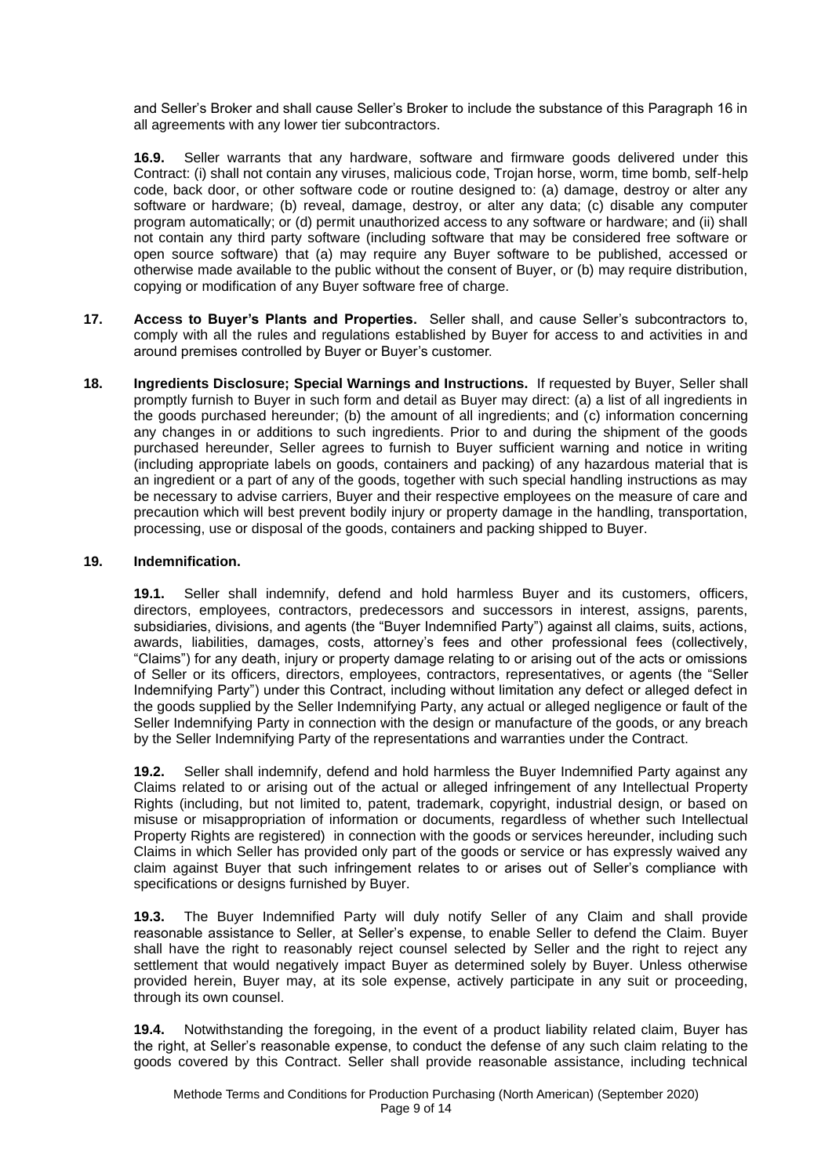and Seller's Broker and shall cause Seller's Broker to include the substance of this Paragraph 16 in all agreements with any lower tier subcontractors.

**16.9.** Seller warrants that any hardware, software and firmware goods delivered under this Contract: (i) shall not contain any viruses, malicious code, Trojan horse, worm, time bomb, self-help code, back door, or other software code or routine designed to: (a) damage, destroy or alter any software or hardware; (b) reveal, damage, destroy, or alter any data; (c) disable any computer program automatically; or (d) permit unauthorized access to any software or hardware; and (ii) shall not contain any third party software (including software that may be considered free software or open source software) that (a) may require any Buyer software to be published, accessed or otherwise made available to the public without the consent of Buyer, or (b) may require distribution, copying or modification of any Buyer software free of charge.

- **17. Access to Buyer's Plants and Properties.** Seller shall, and cause Seller's subcontractors to, comply with all the rules and regulations established by Buyer for access to and activities in and around premises controlled by Buyer or Buyer's customer.
- **18. Ingredients Disclosure; Special Warnings and Instructions.** If requested by Buyer, Seller shall promptly furnish to Buyer in such form and detail as Buyer may direct: (a) a list of all ingredients in the goods purchased hereunder; (b) the amount of all ingredients; and (c) information concerning any changes in or additions to such ingredients. Prior to and during the shipment of the goods purchased hereunder, Seller agrees to furnish to Buyer sufficient warning and notice in writing (including appropriate labels on goods, containers and packing) of any hazardous material that is an ingredient or a part of any of the goods, together with such special handling instructions as may be necessary to advise carriers, Buyer and their respective employees on the measure of care and precaution which will best prevent bodily injury or property damage in the handling, transportation, processing, use or disposal of the goods, containers and packing shipped to Buyer.

### **19. Indemnification.**

**19.1.** Seller shall indemnify, defend and hold harmless Buyer and its customers, officers, directors, employees, contractors, predecessors and successors in interest, assigns, parents, subsidiaries, divisions, and agents (the "Buyer Indemnified Party") against all claims, suits, actions, awards, liabilities, damages, costs, attorney's fees and other professional fees (collectively, "Claims") for any death, injury or property damage relating to or arising out of the acts or omissions of Seller or its officers, directors, employees, contractors, representatives, or agents (the "Seller Indemnifying Party") under this Contract, including without limitation any defect or alleged defect in the goods supplied by the Seller Indemnifying Party, any actual or alleged negligence or fault of the Seller Indemnifying Party in connection with the design or manufacture of the goods, or any breach by the Seller Indemnifying Party of the representations and warranties under the Contract.

**19.2.** Seller shall indemnify, defend and hold harmless the Buyer Indemnified Party against any Claims related to or arising out of the actual or alleged infringement of any Intellectual Property Rights (including, but not limited to, patent, trademark, copyright, industrial design, or based on misuse or misappropriation of information or documents, regardless of whether such Intellectual Property Rights are registered) in connection with the goods or services hereunder, including such Claims in which Seller has provided only part of the goods or service or has expressly waived any claim against Buyer that such infringement relates to or arises out of Seller's compliance with specifications or designs furnished by Buyer.

**19.3.** The Buyer Indemnified Party will duly notify Seller of any Claim and shall provide reasonable assistance to Seller, at Seller's expense, to enable Seller to defend the Claim. Buyer shall have the right to reasonably reject counsel selected by Seller and the right to reject any settlement that would negatively impact Buyer as determined solely by Buyer. Unless otherwise provided herein, Buyer may, at its sole expense, actively participate in any suit or proceeding, through its own counsel.

**19.4.** Notwithstanding the foregoing, in the event of a product liability related claim, Buyer has the right, at Seller's reasonable expense, to conduct the defense of any such claim relating to the goods covered by this Contract. Seller shall provide reasonable assistance, including technical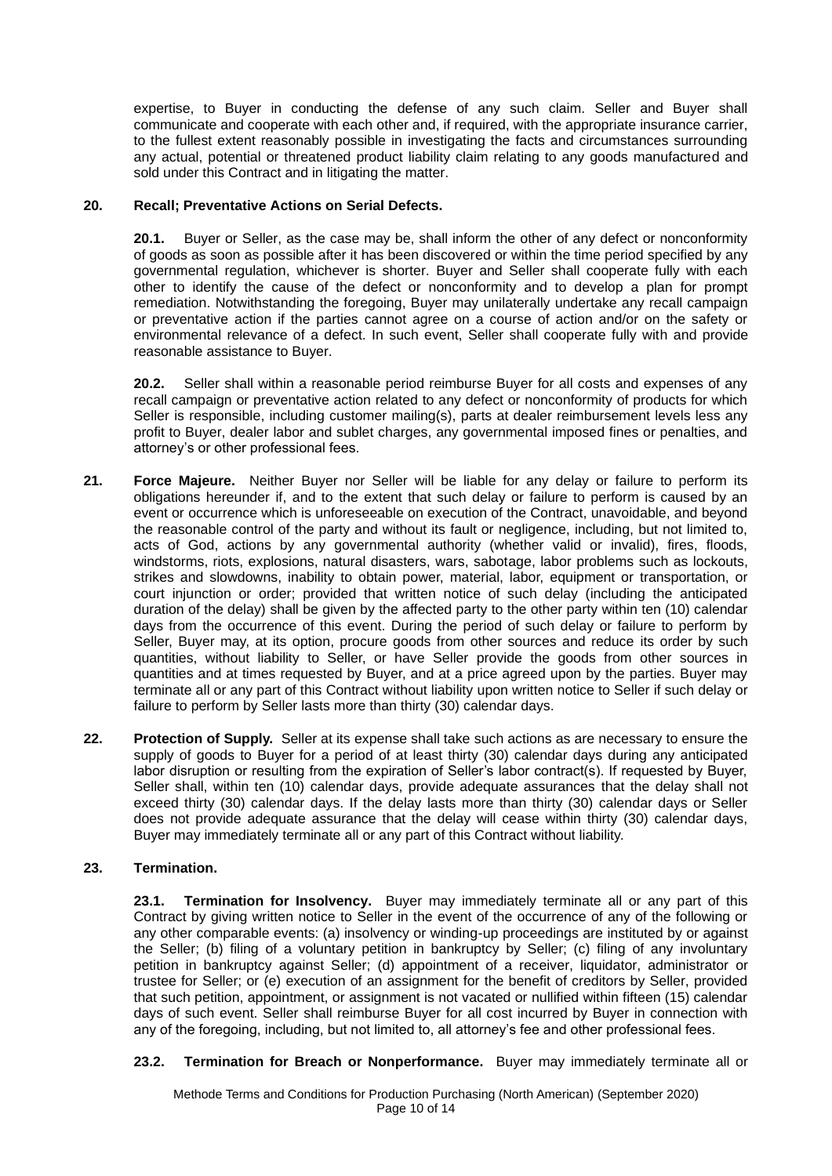expertise, to Buyer in conducting the defense of any such claim. Seller and Buyer shall communicate and cooperate with each other and, if required, with the appropriate insurance carrier, to the fullest extent reasonably possible in investigating the facts and circumstances surrounding any actual, potential or threatened product liability claim relating to any goods manufactured and sold under this Contract and in litigating the matter.

#### **20. Recall; Preventative Actions on Serial Defects.**

**20.1.** Buyer or Seller, as the case may be, shall inform the other of any defect or nonconformity of goods as soon as possible after it has been discovered or within the time period specified by any governmental regulation, whichever is shorter. Buyer and Seller shall cooperate fully with each other to identify the cause of the defect or nonconformity and to develop a plan for prompt remediation. Notwithstanding the foregoing, Buyer may unilaterally undertake any recall campaign or preventative action if the parties cannot agree on a course of action and/or on the safety or environmental relevance of a defect. In such event, Seller shall cooperate fully with and provide reasonable assistance to Buyer.

**20.2.** Seller shall within a reasonable period reimburse Buyer for all costs and expenses of any recall campaign or preventative action related to any defect or nonconformity of products for which Seller is responsible, including customer mailing(s), parts at dealer reimbursement levels less any profit to Buyer, dealer labor and sublet charges, any governmental imposed fines or penalties, and attorney's or other professional fees.

- **21. Force Majeure.** Neither Buyer nor Seller will be liable for any delay or failure to perform its obligations hereunder if, and to the extent that such delay or failure to perform is caused by an event or occurrence which is unforeseeable on execution of the Contract, unavoidable, and beyond the reasonable control of the party and without its fault or negligence, including, but not limited to, acts of God, actions by any governmental authority (whether valid or invalid), fires, floods, windstorms, riots, explosions, natural disasters, wars, sabotage, labor problems such as lockouts, strikes and slowdowns, inability to obtain power, material, labor, equipment or transportation, or court injunction or order; provided that written notice of such delay (including the anticipated duration of the delay) shall be given by the affected party to the other party within ten (10) calendar days from the occurrence of this event. During the period of such delay or failure to perform by Seller, Buyer may, at its option, procure goods from other sources and reduce its order by such quantities, without liability to Seller, or have Seller provide the goods from other sources in quantities and at times requested by Buyer, and at a price agreed upon by the parties. Buyer may terminate all or any part of this Contract without liability upon written notice to Seller if such delay or failure to perform by Seller lasts more than thirty (30) calendar days.
- **22. Protection of Supply.** Seller at its expense shall take such actions as are necessary to ensure the supply of goods to Buyer for a period of at least thirty (30) calendar days during any anticipated labor disruption or resulting from the expiration of Seller's labor contract(s). If requested by Buyer, Seller shall, within ten (10) calendar days, provide adequate assurances that the delay shall not exceed thirty (30) calendar days. If the delay lasts more than thirty (30) calendar days or Seller does not provide adequate assurance that the delay will cease within thirty (30) calendar days, Buyer may immediately terminate all or any part of this Contract without liability.

### **23. Termination.**

**23.1. Termination for Insolvency.** Buyer may immediately terminate all or any part of this Contract by giving written notice to Seller in the event of the occurrence of any of the following or any other comparable events: (a) insolvency or winding-up proceedings are instituted by or against the Seller; (b) filing of a voluntary petition in bankruptcy by Seller; (c) filing of any involuntary petition in bankruptcy against Seller; (d) appointment of a receiver, liquidator, administrator or trustee for Seller; or (e) execution of an assignment for the benefit of creditors by Seller, provided that such petition, appointment, or assignment is not vacated or nullified within fifteen (15) calendar days of such event. Seller shall reimburse Buyer for all cost incurred by Buyer in connection with any of the foregoing, including, but not limited to, all attorney's fee and other professional fees.

**23.2. Termination for Breach or Nonperformance.** Buyer may immediately terminate all or

Methode Terms and Conditions for Production Purchasing (North American) (September 2020) Page 10 of 14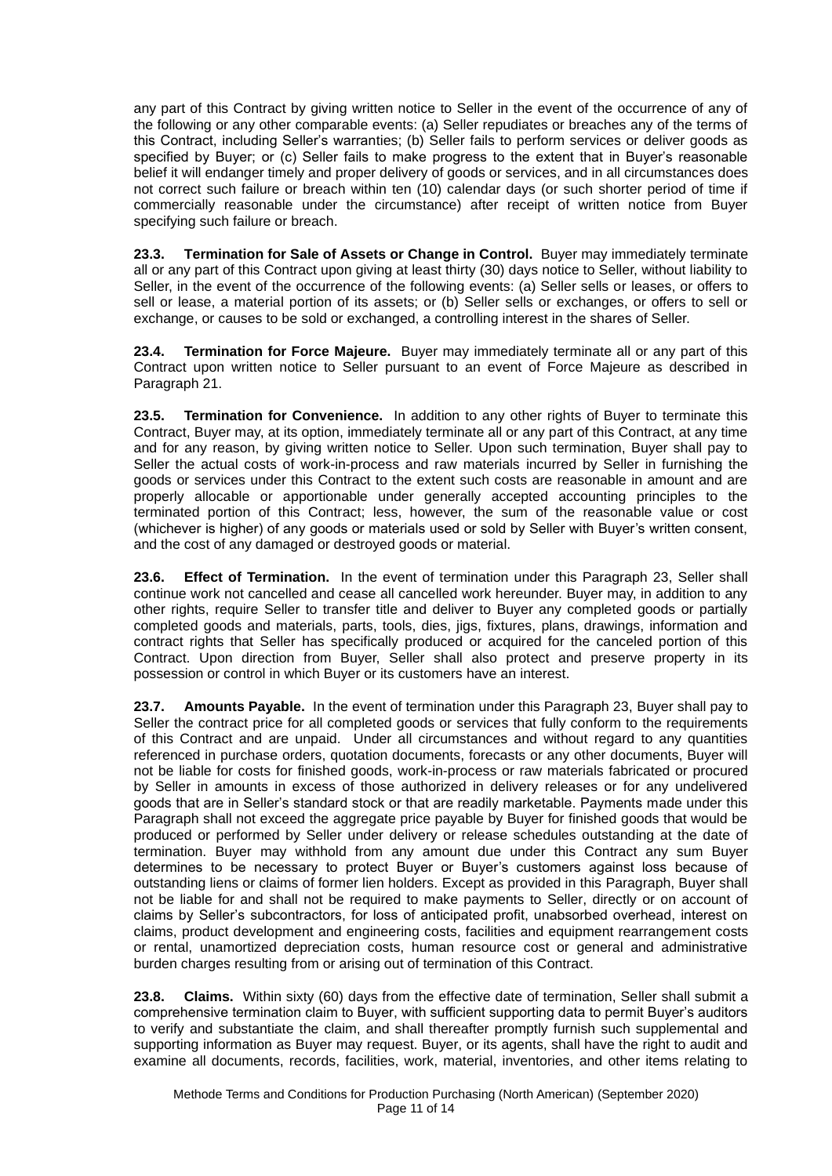any part of this Contract by giving written notice to Seller in the event of the occurrence of any of the following or any other comparable events: (a) Seller repudiates or breaches any of the terms of this Contract, including Seller's warranties; (b) Seller fails to perform services or deliver goods as specified by Buyer; or (c) Seller fails to make progress to the extent that in Buyer's reasonable belief it will endanger timely and proper delivery of goods or services, and in all circumstances does not correct such failure or breach within ten (10) calendar days (or such shorter period of time if commercially reasonable under the circumstance) after receipt of written notice from Buyer specifying such failure or breach.

**23.3. Termination for Sale of Assets or Change in Control.** Buyer may immediately terminate all or any part of this Contract upon giving at least thirty (30) days notice to Seller, without liability to Seller, in the event of the occurrence of the following events: (a) Seller sells or leases, or offers to sell or lease, a material portion of its assets; or (b) Seller sells or exchanges, or offers to sell or exchange, or causes to be sold or exchanged, a controlling interest in the shares of Seller.

**23.4. Termination for Force Majeure.** Buyer may immediately terminate all or any part of this Contract upon written notice to Seller pursuant to an event of Force Majeure as described in Paragraph 21.

**23.5. Termination for Convenience.** In addition to any other rights of Buyer to terminate this Contract, Buyer may, at its option, immediately terminate all or any part of this Contract, at any time and for any reason, by giving written notice to Seller. Upon such termination, Buyer shall pay to Seller the actual costs of work-in-process and raw materials incurred by Seller in furnishing the goods or services under this Contract to the extent such costs are reasonable in amount and are properly allocable or apportionable under generally accepted accounting principles to the terminated portion of this Contract; less, however, the sum of the reasonable value or cost (whichever is higher) of any goods or materials used or sold by Seller with Buyer's written consent, and the cost of any damaged or destroyed goods or material.

**23.6. Effect of Termination.** In the event of termination under this Paragraph 23, Seller shall continue work not cancelled and cease all cancelled work hereunder. Buyer may, in addition to any other rights, require Seller to transfer title and deliver to Buyer any completed goods or partially completed goods and materials, parts, tools, dies, jigs, fixtures, plans, drawings, information and contract rights that Seller has specifically produced or acquired for the canceled portion of this Contract. Upon direction from Buyer, Seller shall also protect and preserve property in its possession or control in which Buyer or its customers have an interest.

**23.7. Amounts Payable.** In the event of termination under this Paragraph 23, Buyer shall pay to Seller the contract price for all completed goods or services that fully conform to the requirements of this Contract and are unpaid. Under all circumstances and without regard to any quantities referenced in purchase orders, quotation documents, forecasts or any other documents, Buyer will not be liable for costs for finished goods, work-in-process or raw materials fabricated or procured by Seller in amounts in excess of those authorized in delivery releases or for any undelivered goods that are in Seller's standard stock or that are readily marketable. Payments made under this Paragraph shall not exceed the aggregate price payable by Buyer for finished goods that would be produced or performed by Seller under delivery or release schedules outstanding at the date of termination. Buyer may withhold from any amount due under this Contract any sum Buyer determines to be necessary to protect Buyer or Buyer's customers against loss because of outstanding liens or claims of former lien holders. Except as provided in this Paragraph, Buyer shall not be liable for and shall not be required to make payments to Seller, directly or on account of claims by Seller's subcontractors, for loss of anticipated profit, unabsorbed overhead, interest on claims, product development and engineering costs, facilities and equipment rearrangement costs or rental, unamortized depreciation costs, human resource cost or general and administrative burden charges resulting from or arising out of termination of this Contract.

**23.8. Claims.** Within sixty (60) days from the effective date of termination, Seller shall submit a comprehensive termination claim to Buyer, with sufficient supporting data to permit Buyer's auditors to verify and substantiate the claim, and shall thereafter promptly furnish such supplemental and supporting information as Buyer may request. Buyer, or its agents, shall have the right to audit and examine all documents, records, facilities, work, material, inventories, and other items relating to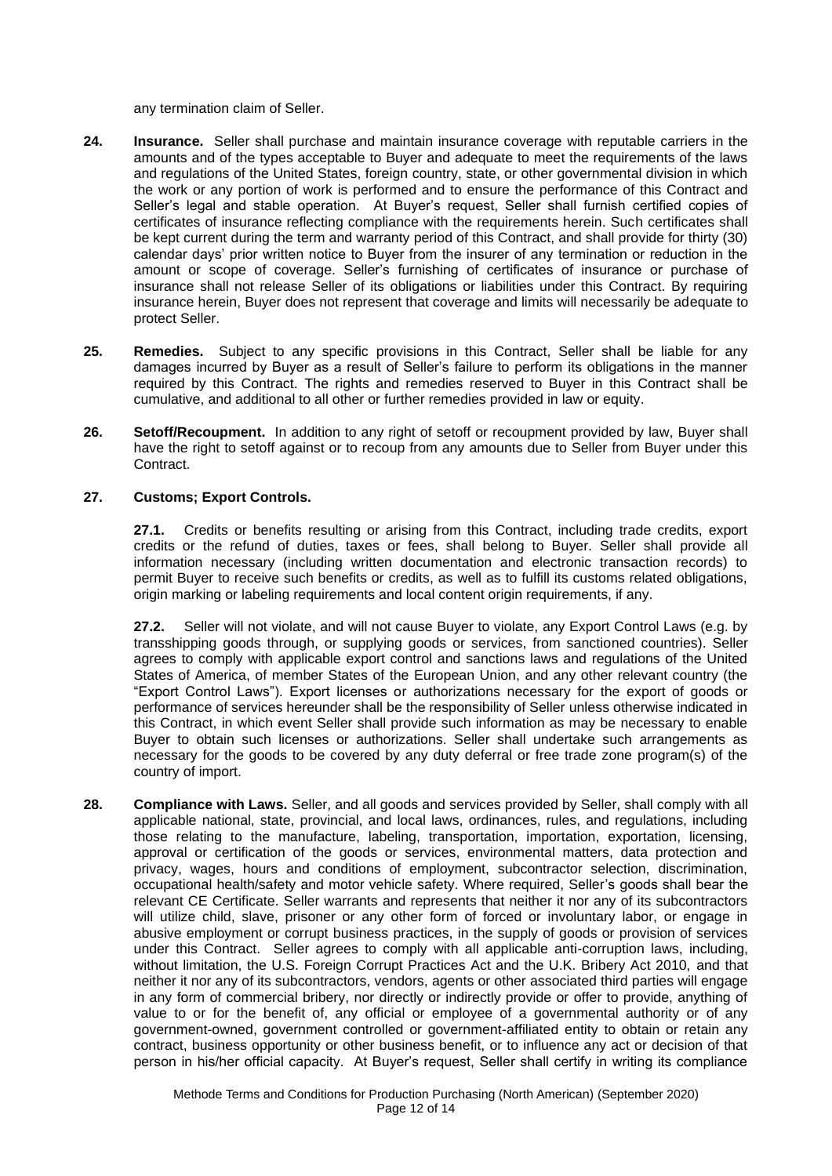any termination claim of Seller.

- **24. Insurance.** Seller shall purchase and maintain insurance coverage with reputable carriers in the amounts and of the types acceptable to Buyer and adequate to meet the requirements of the laws and regulations of the United States, foreign country, state, or other governmental division in which the work or any portion of work is performed and to ensure the performance of this Contract and Seller's legal and stable operation. At Buyer's request, Seller shall furnish certified copies of certificates of insurance reflecting compliance with the requirements herein. Such certificates shall be kept current during the term and warranty period of this Contract, and shall provide for thirty (30) calendar days' prior written notice to Buyer from the insurer of any termination or reduction in the amount or scope of coverage. Seller's furnishing of certificates of insurance or purchase of insurance shall not release Seller of its obligations or liabilities under this Contract. By requiring insurance herein, Buyer does not represent that coverage and limits will necessarily be adequate to protect Seller.
- **25. Remedies.** Subject to any specific provisions in this Contract, Seller shall be liable for any damages incurred by Buyer as a result of Seller's failure to perform its obligations in the manner required by this Contract. The rights and remedies reserved to Buyer in this Contract shall be cumulative, and additional to all other or further remedies provided in law or equity.
- **26. Setoff/Recoupment.** In addition to any right of setoff or recoupment provided by law, Buyer shall have the right to setoff against or to recoup from any amounts due to Seller from Buyer under this Contract.

#### **27. Customs; Export Controls.**

**27.1.** Credits or benefits resulting or arising from this Contract, including trade credits, export credits or the refund of duties, taxes or fees, shall belong to Buyer. Seller shall provide all information necessary (including written documentation and electronic transaction records) to permit Buyer to receive such benefits or credits, as well as to fulfill its customs related obligations, origin marking or labeling requirements and local content origin requirements, if any.

**27.2.** Seller will not violate, and will not cause Buyer to violate, any Export Control Laws (e.g. by transshipping goods through, or supplying goods or services, from sanctioned countries). Seller agrees to comply with applicable export control and sanctions laws and regulations of the United States of America, of member States of the European Union, and any other relevant country (the "Export Control Laws"). Export licenses or authorizations necessary for the export of goods or performance of services hereunder shall be the responsibility of Seller unless otherwise indicated in this Contract, in which event Seller shall provide such information as may be necessary to enable Buyer to obtain such licenses or authorizations. Seller shall undertake such arrangements as necessary for the goods to be covered by any duty deferral or free trade zone program(s) of the country of import.

**28. Compliance with Laws.** Seller, and all goods and services provided by Seller, shall comply with all applicable national, state, provincial, and local laws, ordinances, rules, and regulations, including those relating to the manufacture, labeling, transportation, importation, exportation, licensing, approval or certification of the goods or services, environmental matters, data protection and privacy, wages, hours and conditions of employment, subcontractor selection, discrimination, occupational health/safety and motor vehicle safety. Where required, Seller's goods shall bear the relevant CE Certificate. Seller warrants and represents that neither it nor any of its subcontractors will utilize child, slave, prisoner or any other form of forced or involuntary labor, or engage in abusive employment or corrupt business practices, in the supply of goods or provision of services under this Contract. Seller agrees to comply with all applicable anti-corruption laws, including, without limitation, the U.S. Foreign Corrupt Practices Act and the U.K. Bribery Act 2010, and that neither it nor any of its subcontractors, vendors, agents or other associated third parties will engage in any form of commercial bribery, nor directly or indirectly provide or offer to provide, anything of value to or for the benefit of, any official or employee of a governmental authority or of any government-owned, government controlled or government-affiliated entity to obtain or retain any contract, business opportunity or other business benefit, or to influence any act or decision of that person in his/her official capacity. At Buyer's request, Seller shall certify in writing its compliance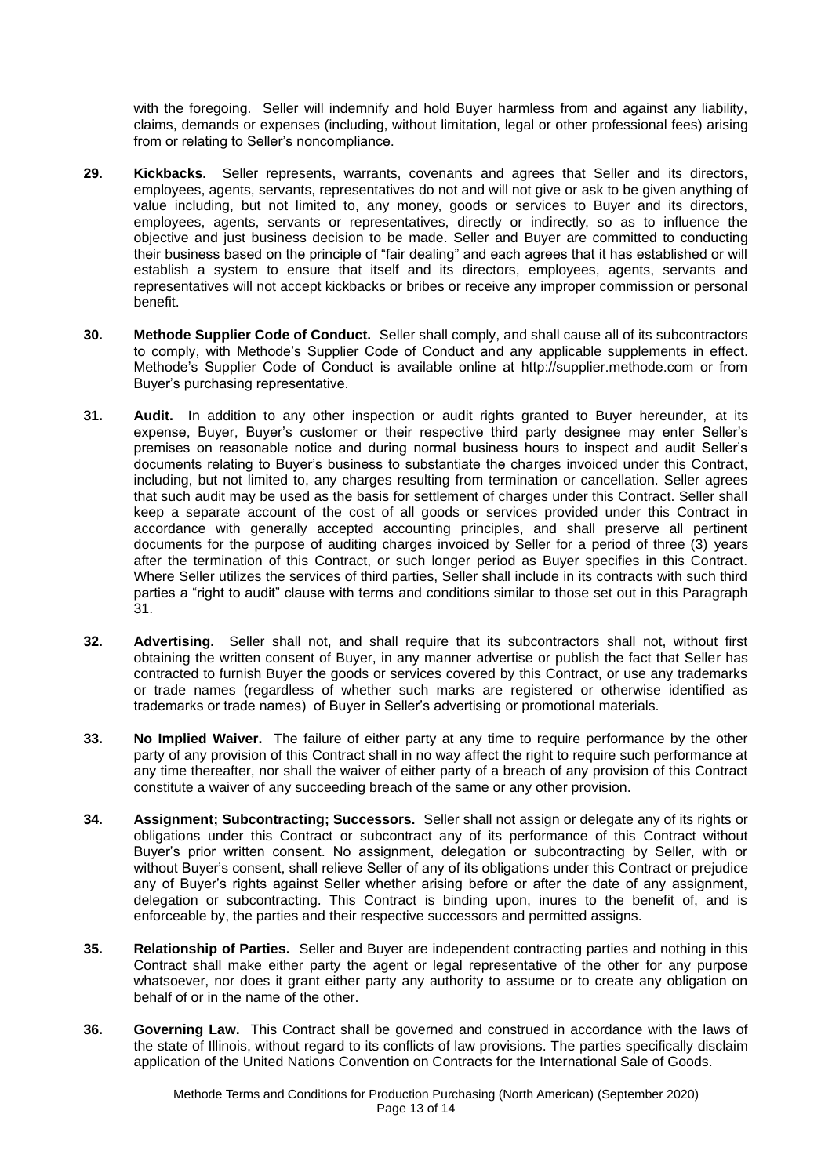with the foregoing. Seller will indemnify and hold Buyer harmless from and against any liability, claims, demands or expenses (including, without limitation, legal or other professional fees) arising from or relating to Seller's noncompliance.

- **29. Kickbacks.** Seller represents, warrants, covenants and agrees that Seller and its directors, employees, agents, servants, representatives do not and will not give or ask to be given anything of value including, but not limited to, any money, goods or services to Buyer and its directors, employees, agents, servants or representatives, directly or indirectly, so as to influence the objective and just business decision to be made. Seller and Buyer are committed to conducting their business based on the principle of "fair dealing" and each agrees that it has established or will establish a system to ensure that itself and its directors, employees, agents, servants and representatives will not accept kickbacks or bribes or receive any improper commission or personal benefit.
- **30. Methode Supplier Code of Conduct.** Seller shall comply, and shall cause all of its subcontractors to comply, with Methode's Supplier Code of Conduct and any applicable supplements in effect. Methode's Supplier Code of Conduct is available online at http://supplier.methode.com or from Buyer's purchasing representative.
- **31. Audit.** In addition to any other inspection or audit rights granted to Buyer hereunder, at its expense, Buyer, Buyer's customer or their respective third party designee may enter Seller's premises on reasonable notice and during normal business hours to inspect and audit Seller's documents relating to Buyer's business to substantiate the charges invoiced under this Contract, including, but not limited to, any charges resulting from termination or cancellation. Seller agrees that such audit may be used as the basis for settlement of charges under this Contract. Seller shall keep a separate account of the cost of all goods or services provided under this Contract in accordance with generally accepted accounting principles, and shall preserve all pertinent documents for the purpose of auditing charges invoiced by Seller for a period of three (3) years after the termination of this Contract, or such longer period as Buyer specifies in this Contract. Where Seller utilizes the services of third parties, Seller shall include in its contracts with such third parties a "right to audit" clause with terms and conditions similar to those set out in this Paragraph 31.
- **32. Advertising.** Seller shall not, and shall require that its subcontractors shall not, without first obtaining the written consent of Buyer, in any manner advertise or publish the fact that Seller has contracted to furnish Buyer the goods or services covered by this Contract, or use any trademarks or trade names (regardless of whether such marks are registered or otherwise identified as trademarks or trade names) of Buyer in Seller's advertising or promotional materials.
- **33. No Implied Waiver.** The failure of either party at any time to require performance by the other party of any provision of this Contract shall in no way affect the right to require such performance at any time thereafter, nor shall the waiver of either party of a breach of any provision of this Contract constitute a waiver of any succeeding breach of the same or any other provision.
- **34. Assignment; Subcontracting; Successors.** Seller shall not assign or delegate any of its rights or obligations under this Contract or subcontract any of its performance of this Contract without Buyer's prior written consent. No assignment, delegation or subcontracting by Seller, with or without Buyer's consent, shall relieve Seller of any of its obligations under this Contract or prejudice any of Buyer's rights against Seller whether arising before or after the date of any assignment, delegation or subcontracting. This Contract is binding upon, inures to the benefit of, and is enforceable by, the parties and their respective successors and permitted assigns.
- **35. Relationship of Parties.** Seller and Buyer are independent contracting parties and nothing in this Contract shall make either party the agent or legal representative of the other for any purpose whatsoever, nor does it grant either party any authority to assume or to create any obligation on behalf of or in the name of the other.
- **36. Governing Law.** This Contract shall be governed and construed in accordance with the laws of the state of Illinois, without regard to its conflicts of law provisions. The parties specifically disclaim application of the United Nations Convention on Contracts for the International Sale of Goods.

Methode Terms and Conditions for Production Purchasing (North American) (September 2020) Page 13 of 14